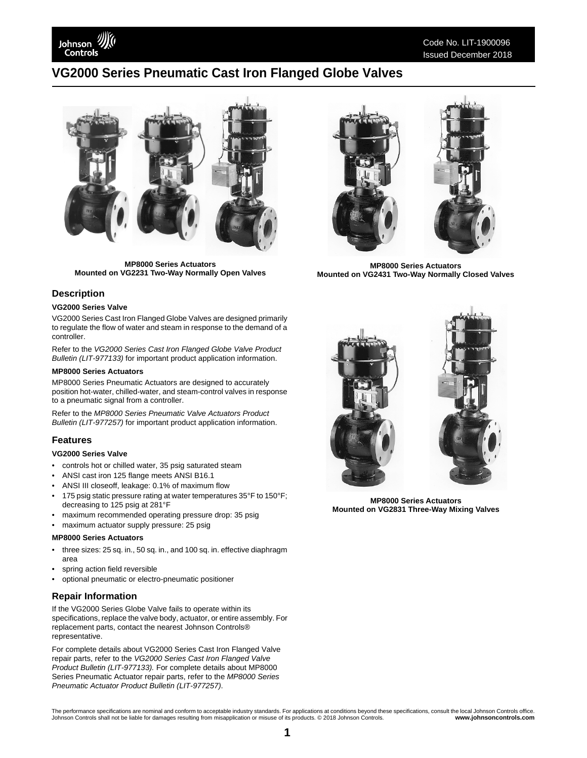Johnson Controls

# Code No. LIT-1900096 Issued December 2018

# **VG2000 Series Pneumatic Cast Iron Flanged Globe Valves**



**MP8000 Series Actuators Mounted on VG2231 Two-Way Normally Open Valves**

# **Description**

#### **VG2000 Series Valve**

VG2000 Series Cast Iron Flanged Globe Valves are designed primarily to regulate the flow of water and steam in response to the demand of a controller.

Refer to the *VG2000 Series Cast Iron Flanged Globe Valve Product Bulletin (LIT-977133)* for important product application information.

#### **MP8000 Series Actuators**

MP8000 Series Pneumatic Actuators are designed to accurately position hot-water, chilled-water, and steam-control valves in response to a pneumatic signal from a controller.

Refer to the *MP8000 Series Pneumatic Valve Actuators Product Bulletin (LIT-977257)* for important product application information.

## **Features**

### **VG2000 Series Valve**

- controls hot or chilled water, 35 psig saturated steam
- ANSI cast iron 125 flange meets ANSI B16.1
- ANSI III closeoff, leakage: 0.1% of maximum flow
- 175 psig static pressure rating at water temperatures 35°F to 150°F; decreasing to 125 psig at 281°F
- maximum recommended operating pressure drop: 35 psig
- maximum actuator supply pressure: 25 psig

#### **MP8000 Series Actuators**

- three sizes: 25 sq. in., 50 sq. in., and 100 sq. in. effective diaphragm area
- spring action field reversible
- optional pneumatic or electro-pneumatic positioner

## **Repair Information**

If the VG2000 Series Globe Valve fails to operate within its specifications, replace the valve body, actuator, or entire assembly. For replacement parts, contact the nearest Johnson Controls® representative.

For complete details about VG2000 Series Cast Iron Flanged Valve repair parts, refer to the *VG2000 Series Cast Iron Flanged Valve Product Bulletin (LIT-977133).* For complete details about MP8000 Series Pneumatic Actuator repair parts, refer to the *MP8000 Series Pneumatic Actuator Product Bulletin (LIT-977257)*.



**MP8000 Series Actuators Mounted on VG2431 Two-Way Normally Closed Valves**



**MP8000 Series Actuators Mounted on VG2831 Three-Way Mixing Valves**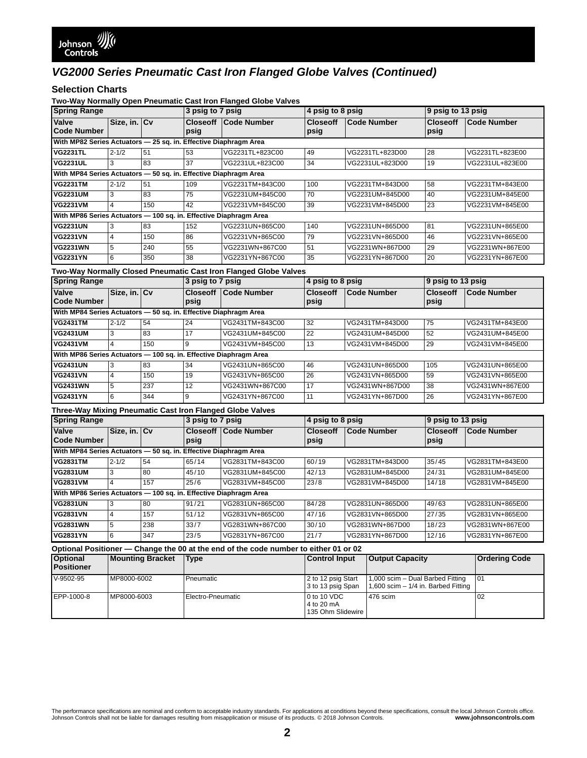# *VG2000 Series Pneumatic Cast Iron Flanged Globe Valves (Continued)*

**Selection Charts**<br>Two-Way Normally Open Pneumatic Cast Iron Flanged Globe Valves

| rwo-way Normany Open Fileamatic Oast from Fianged Olobe varves<br><b>Spring Range</b> |                                                                  |     | 3 psig to 7 psig |                                                                  | 4 psig to 8 psig        |                    | 9 psig to 13 psig       |                    |
|---------------------------------------------------------------------------------------|------------------------------------------------------------------|-----|------------------|------------------------------------------------------------------|-------------------------|--------------------|-------------------------|--------------------|
| Valve<br><b>Code Number</b>                                                           | Size, in. Cv                                                     |     | psig             | <b>Closeoff Code Number</b>                                      | <b>Closeoff</b><br>psig | <b>Code Number</b> | <b>Closeoff</b><br>psig | <b>Code Number</b> |
| With MP82 Series Actuators - 25 sq. in. Effective Diaphragm Area                      |                                                                  |     |                  |                                                                  |                         |                    |                         |                    |
| <b>VG2231TL</b>                                                                       | $2 - 1/2$                                                        | 51  | 53               | VG2231TL+823C00                                                  | 49                      | VG2231TL+823D00    | 28                      | VG2231TL+823E00    |
| <b>VG2231UL</b>                                                                       | 3                                                                | 83  | $\overline{37}$  | VG2231UL+823C00                                                  | 34                      | VG2231UL+823D00    | 19                      | VG2231UL+823E00    |
|                                                                                       | With MP84 Series Actuators - 50 sq. in. Effective Diaphragm Area |     |                  |                                                                  |                         |                    |                         |                    |
| <b>VG2231TM</b>                                                                       | $2 - 1/2$                                                        | 51  | 109              | VG2231TM+843C00                                                  | 100                     | VG2231TM+843D00    | 58                      | VG2231TM+843E00    |
| <b>VG2231UM</b>                                                                       | 3                                                                | 83  | 75               | VG2231UM+845C00                                                  | 70                      | VG2231UM+845D00    | 40                      | VG2231UM+845E00    |
| <b>VG2231VM</b>                                                                       | 4                                                                | 150 | 42               | VG2231VM+845C00                                                  | 39                      | VG2231VM+845D00    | 23                      | VG2231VM+845E00    |
| With MP86 Series Actuators - 100 sq. in. Effective Diaphragm Area                     |                                                                  |     |                  |                                                                  |                         |                    |                         |                    |
| <b>VG2231UN</b>                                                                       | 3                                                                | 83  | 152              | VG2231UN+865C00                                                  | 140                     | VG2231UN+865D00    | 81                      | VG2231UN+865E00    |
| <b>VG2231VN</b>                                                                       | 4                                                                | 150 | 86               | VG2231VN+865C00                                                  | 79                      | VG2231VN+865D00    | 46                      | VG2231VN+865E00    |
| <b>VG2231WN</b>                                                                       | 5                                                                | 240 | 55               | VG2231WN+867C00                                                  | 51                      | VG2231WN+867D00    | 29                      | VG2231WN+867E00    |
| <b>VG2231YN</b>                                                                       | 6                                                                | 350 | 38               | VG2231YN+867C00                                                  | 35                      | VG2231YN+867D00    | 20                      | VG2231YN+867E00    |
|                                                                                       |                                                                  |     |                  | Two-Way Normally Closed Pneumatic Cast Iron Flanged Globe Valves |                         |                    |                         |                    |
| <b>Spring Range</b>                                                                   |                                                                  |     | 3 psig to 7 psig |                                                                  | 4 psig to 8 psig        |                    | 9 psig to 13 psig       |                    |
| Valve<br><b>Code Number</b>                                                           | Size, in. Cv                                                     |     | psig             | <b>Closeoff Code Number</b>                                      | <b>Closeoff</b><br>psig | <b>Code Number</b> | <b>Closeoff</b><br>psig | <b>Code Number</b> |
| With MP84 Series Actuators - 50 sq. in. Effective Diaphragm Area                      |                                                                  |     |                  |                                                                  |                         |                    |                         |                    |
| <b>VG2431TM</b>                                                                       | $2 - 1/2$                                                        | 54  | 24               | VG2431TM+843C00                                                  | 32                      | VG2431TM+843D00    | 75                      | VG2431TM+843E00    |
| <b>VG2431UM</b>                                                                       | 3                                                                | 83  | 17               | VG2431UM+845C00                                                  | 22                      | VG2431UM+845D00    | 52                      | VG2431UM+845E00    |
| <b>VG2431VM</b>                                                                       | $\overline{4}$                                                   | 150 | 9                | VG2431VM+845C00                                                  | 13                      | VG2431VM+845D00    | 29                      | VG2431VM+845E00    |
| With MP86 Series Actuators - 100 sq. in. Effective Diaphragm Area                     |                                                                  |     |                  |                                                                  |                         |                    |                         |                    |
| <b>VG2431UN</b>                                                                       | 3                                                                | 83  | 34               | VG2431UN+865C00                                                  | 46                      | VG2431UN+865D00    | 105                     | VG2431UN+865E00    |
| <b>VG2431VN</b>                                                                       | $\overline{4}$                                                   | 150 | 19               | VG2431VN+865C00                                                  | 26                      | VG2431VN+865D00    | 59                      | VG2431VN+865E00    |
| <b>VG2431WN</b>                                                                       | 5                                                                | 237 | 12               | VG2431WN+867C00                                                  | 17                      | VG2431WN+867D00    | 38                      | VG2431WN+867E00    |
| <b>VG2431YN</b>                                                                       | 6                                                                | 344 | 9                | VG2431YN+867C00                                                  | 11                      | VG2431YN+867D00    | 26                      | VG2431YN+867E00    |
| Three-Way Mixing Pneumatic Cast Iron Flanged Globe Valves                             |                                                                  |     |                  |                                                                  |                         |                    |                         |                    |
| <b>Spring Range</b>                                                                   |                                                                  |     | 3 psig to 7 psig |                                                                  | 4 psig to 8 psig        |                    | 9 psig to 13 psig       |                    |
| Valve<br><b>Code Number</b>                                                           | Size, in. Cv                                                     |     | psig             | <b>Closeoff Code Number</b>                                      | <b>Closeoff</b><br>psig | <b>Code Number</b> | <b>Closeoff</b><br>psig | <b>Code Number</b> |
| With MP84 Series Actuators - 50 sq. in. Effective Diaphragm Area                      |                                                                  |     |                  |                                                                  |                         |                    |                         |                    |
| <b>VG2831TM</b>                                                                       | $2 - 1/2$                                                        | 54  | 65/14            | VG2831TM+843C00                                                  | 60/19                   | VG2831TM+843D00    | 35/45                   | VG2831TM+843E00    |
| <b>VG2831UM</b>                                                                       | 3                                                                | 80  | 45/10            | VG2831UM+845C00                                                  | 42/13                   | VG2831UM+845D00    | 24/31                   | VG2831UM+845E00    |
| <b>VG2831VM</b>                                                                       | $\overline{4}$                                                   | 157 | 25/6             | VG2831VM+845C00                                                  | 23/8                    | VG2831VM+845D00    | 14/18                   | VG2831VM+845E00    |
| With MP86 Series Actuators - 100 sq. in. Effective Diaphragm Area                     |                                                                  |     |                  |                                                                  |                         |                    |                         |                    |
| <b>VG2831UN</b>                                                                       | 3                                                                | 80  | 91/21            | VG2831UN+865C00                                                  | 84/28                   | VG2831UN+865D00    | 49/63                   | VG2831UN+865E00    |
| <b>VG2831VN</b>                                                                       | $\overline{4}$                                                   | 157 | 51/12            | VG2831VN+865C00                                                  | 47/16                   | VG2831VN+865D00    | 27/35                   | VG2831VN+865E00    |
| <b>VG2831WN</b>                                                                       | 5                                                                | 238 | 33/7             | VG2831WN+867C00                                                  | 30/10                   | VG2831WN+867D00    | 18/23                   | VG2831WN+867E00    |
| <b>VG2831YN</b>                                                                       | 6                                                                | 347 | 23/5             | VG2831YN+867C00                                                  | 21/7                    | VG2831YN+867D00    | 12/16                   | VG2831YN+867E00    |

| Optional Positioner — Change the 00 at the end of the code number to either 01 or 02 |                         |                   |                                                |                                                                           |                      |  |  |
|--------------------------------------------------------------------------------------|-------------------------|-------------------|------------------------------------------------|---------------------------------------------------------------------------|----------------------|--|--|
| <b>Optional</b><br><b>Positioner</b>                                                 | <b>Mounting Bracket</b> | Type              | <b>Control Input</b>                           | <b>Output Capacity</b>                                                    | <b>Ordering Code</b> |  |  |
| V-9502-95                                                                            | MP8000-6002             | Pneumatic         | 2 to 12 psig Start<br>3 to 13 psig Span        | 1,000 scim - Dual Barbed Fitting<br>1,600 scim $-$ 1/4 in. Barbed Fitting | 101                  |  |  |
| EPP-1000-8                                                                           | MP8000-6003             | Electro-Pneumatic | 0 to 10 VDC<br>4 to 20 mA<br>135 Ohm Slidewire | 476 scim                                                                  | 02                   |  |  |

The performance specifications are nominal and conform to acceptable industry standards. For applications at conditions beyond these specifications, consult the local Johnson Controls office.<br>Johnson Controls shall not be